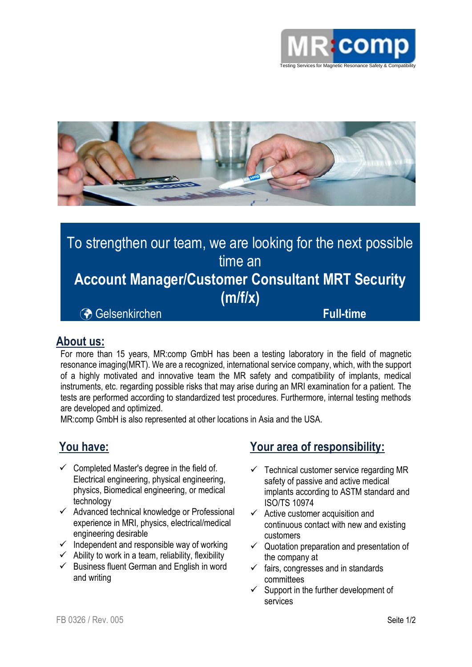



# To strengthen our team, we are looking for the next possible time an **Account Manager/Customer Consultant MRT Security (m/f/x)** Gelsenkirchen **Full-time**

#### **About us:**

For more than 15 years, MR:comp GmbH has been a testing laboratory in the field of magnetic resonance imaging(MRT). We are a recognized, international service company, which, with the support of a highly motivated and innovative team the MR safety and compatibility of implants, medical instruments, etc. regarding possible risks that may arise during an MRI examination for a patient. The tests are performed according to standardized test procedures. Furthermore, internal testing methods are developed and optimized.

MR:comp GmbH is also represented at other locations in Asia and the USA.

## **You have:**

- $\checkmark$  Completed Master's degree in the field of. Electrical engineering, physical engineering, physics, Biomedical engineering, or medical technology
- ✓ Advanced technical knowledge or Professional experience in MRI, physics, electrical/medical engineering desirable
- $\checkmark$  Independent and responsible way of working
- $\checkmark$  Ability to work in a team, reliability, flexibility
- $\checkmark$  Business fluent German and English in word and writing

## **Your area of responsibility:**

- Technical customer service regarding MR safety of passive and active medical implants according to ASTM standard and ISO/TS 10974
- $\checkmark$  Active customer acquisition and continuous contact with new and existing customers
- $\checkmark$  Quotation preparation and presentation of the company at
- $\checkmark$  fairs, congresses and in standards committees
- $\checkmark$  Support in the further development of services